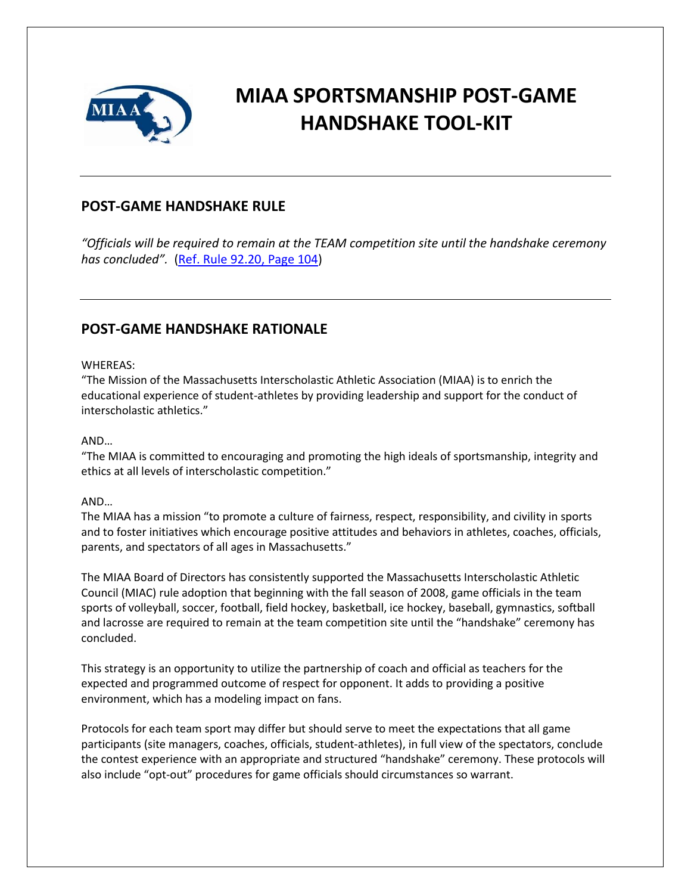

## **MIAA SPORTSMANSHIP POST-GAME HANDSHAKE TOOL-KIT**

### **POST-GAME HANDSHAKE RULE**

*"Officials will be required to remain at the TEAM competition site until the handshake ceremony has concluded".* [\(Ref. Rule 92.20, Page 104\)](https://miaa.net/wp-content/uploads/2022/03/MIAA-Handbook-21-23revised.pdf)

### **POST-GAME HANDSHAKE RATIONALE**

#### WHEREAS:

"The Mission of the Massachusetts Interscholastic Athletic Association (MIAA) is to enrich the educational experience of student-athletes by providing leadership and support for the conduct of interscholastic athletics."

#### AND…

"The MIAA is committed to encouraging and promoting the high ideals of sportsmanship, integrity and ethics at all levels of interscholastic competition."

#### AND…

The MIAA has a mission "to promote a culture of fairness, respect, responsibility, and civility in sports and to foster initiatives which encourage positive attitudes and behaviors in athletes, coaches, officials, parents, and spectators of all ages in Massachusetts."

The MIAA Board of Directors has consistently supported the Massachusetts Interscholastic Athletic Council (MIAC) rule adoption that beginning with the fall season of 2008, game officials in the team sports of volleyball, soccer, football, field hockey, basketball, ice hockey, baseball, gymnastics, softball and lacrosse are required to remain at the team competition site until the "handshake" ceremony has concluded.

This strategy is an opportunity to utilize the partnership of coach and official as teachers for the expected and programmed outcome of respect for opponent. It adds to providing a positive environment, which has a modeling impact on fans.

Protocols for each team sport may differ but should serve to meet the expectations that all game participants (site managers, coaches, officials, student-athletes), in full view of the spectators, conclude the contest experience with an appropriate and structured "handshake" ceremony. These protocols will also include "opt-out" procedures for game officials should circumstances so warrant.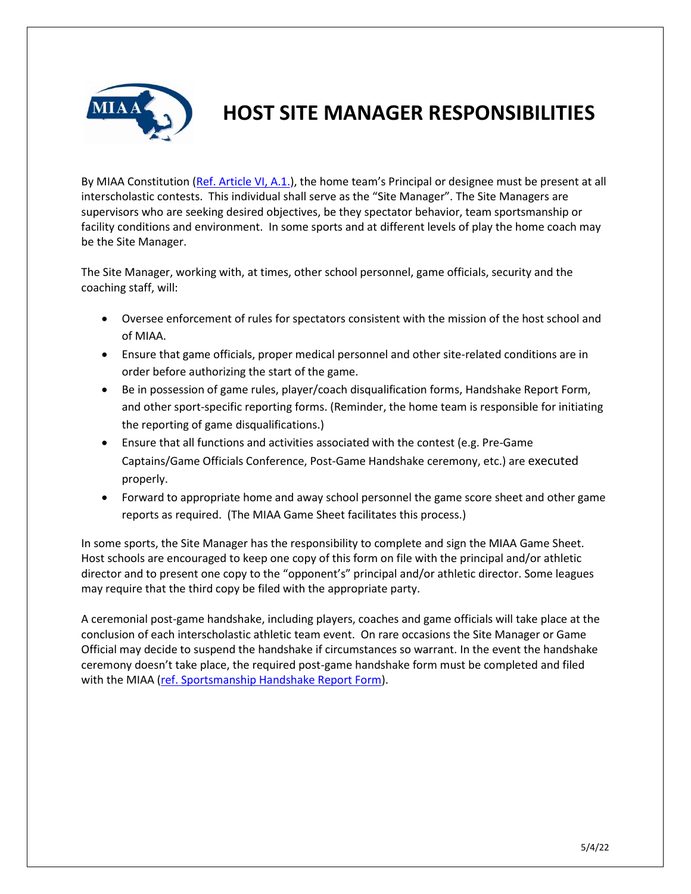

### **HOST SITE MANAGER RESPONSIBILITIES**

By MIAA Constitution [\(Ref. Article VI, A.1.\)](https://miaa.net/wp-content/uploads/2022/03/MIAA-Handbook-21-23revised.pdf), the home team's Principal or designee must be present at all interscholastic contests. This individual shall serve as the "Site Manager". The Site Managers are supervisors who are seeking desired objectives, be they spectator behavior, team sportsmanship or facility conditions and environment. In some sports and at different levels of play the home coach may be the Site Manager.

The Site Manager, working with, at times, other school personnel, game officials, security and the coaching staff, will:

- Oversee enforcement of rules for spectators consistent with the mission of the host school and of MIAA.
- Ensure that game officials, proper medical personnel and other site-related conditions are in order before authorizing the start of the game.
- Be in possession of game rules, player/coach disqualification forms, Handshake Report Form, and other sport-specific reporting forms. (Reminder, the home team is responsible for initiating the reporting of game disqualifications.)
- Ensure that all functions and activities associated with the contest (e.g. Pre-Game Captains/Game Officials Conference, Post-Game Handshake ceremony, etc.) are executed properly.
- Forward to appropriate home and away school personnel the game score sheet and other game reports as required. (The MIAA Game Sheet facilitates this process.)

In some sports, the Site Manager has the responsibility to complete and sign the MIAA Game Sheet. Host schools are encouraged to keep one copy of this form on file with the principal and/or athletic director and to present one copy to the "opponent's" principal and/or athletic director. Some leagues may require that the third copy be filed with the appropriate party.

A ceremonial post-game handshake, including players, coaches and game officials will take place at the conclusion of each interscholastic athletic team event. On rare occasions the Site Manager or Game Official may decide to suspend the handshake if circumstances so warrant. In the event the handshake ceremony doesn't take place, the required post-game handshake form must be completed and filed with the MIAA [\(ref. Sportsmanship Handshake Report Form\)](http://www.schtools.net/membersnew/documents/MIAA/Sportsmanship-Handshake-Report-Form.pdf).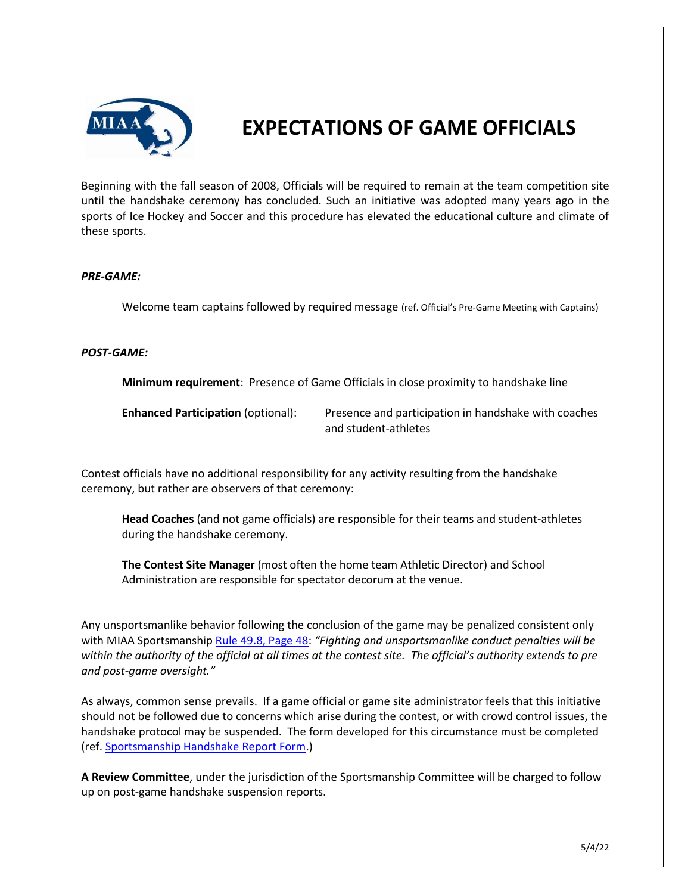

# **EXPECTATIONS OF GAME OFFICIALS**

Beginning with the fall season of 2008, Officials will be required to remain at the team competition site until the handshake ceremony has concluded. Such an initiative was adopted many years ago in the sports of Ice Hockey and Soccer and this procedure has elevated the educational culture and climate of these sports.

#### *PRE-GAME:*

Welcome team captains followed by required message (ref. Official's Pre-Game Meeting with Captains)

#### *POST-GAME:*

**Minimum requirement**: Presence of Game Officials in close proximity to handshake line

**Enhanced Participation** (optional): Presence and participation in handshake with coaches and student-athletes

Contest officials have no additional responsibility for any activity resulting from the handshake ceremony, but rather are observers of that ceremony:

**Head Coaches** (and not game officials) are responsible for their teams and student-athletes during the handshake ceremony.

**The Contest Site Manager** (most often the home team Athletic Director) and School Administration are responsible for spectator decorum at the venue.

Any unsportsmanlike behavior following the conclusion of the game may be penalized consistent only with MIAA Sportsmanship [Rule 49.8, Page 48:](https://miaa.net/wp-content/uploads/2022/03/MIAA-Handbook-21-23revised.pdf) *"Fighting and unsportsmanlike conduct penalties will be within the authority of the official at all times at the contest site. The official's authority extends to pre and post-game oversight."*

As always, common sense prevails. If a game official or game site administrator feels that this initiative should not be followed due to concerns which arise during the contest, or with crowd control issues, the handshake protocol may be suspended. The form developed for this circumstance must be completed (ref. [Sportsmanship Handshake Report Form.](http://www.schtools.net/membersnew/documents/MIAA/Sportsmanship-Handshake-Report-Form.pdf))

**A Review Committee**, under the jurisdiction of the Sportsmanship Committee will be charged to follow up on post-game handshake suspension reports.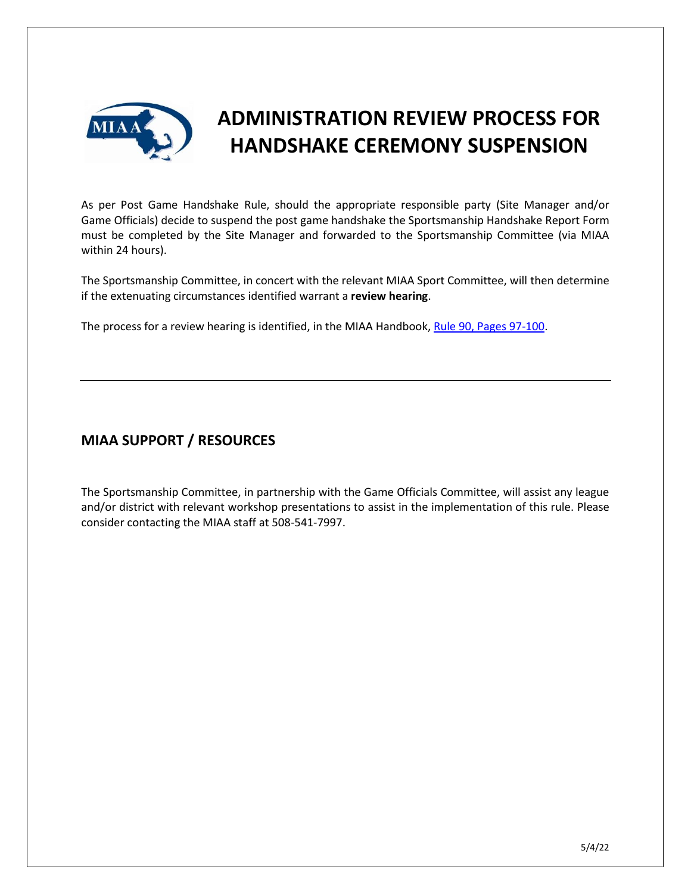

# **ADMINISTRATION REVIEW PROCESS FOR HANDSHAKE CEREMONY SUSPENSION**

As per Post Game Handshake Rule, should the appropriate responsible party (Site Manager and/or Game Officials) decide to suspend the post game handshake the Sportsmanship Handshake Report Form must be completed by the Site Manager and forwarded to the Sportsmanship Committee (via MIAA within 24 hours).

The Sportsmanship Committee, in concert with the relevant MIAA Sport Committee, will then determine if the extenuating circumstances identified warrant a **review hearing**.

The process for a review hearing is identified, in the MIAA Handbook, [Rule 90, Pages 97-100.](https://miaa.net/wp-content/uploads/2022/03/MIAA-Handbook-21-23revised.pdf)

### **MIAA SUPPORT / RESOURCES**

The Sportsmanship Committee, in partnership with the Game Officials Committee, will assist any league and/or district with relevant workshop presentations to assist in the implementation of this rule. Please consider contacting the MIAA staff at 508-541-7997.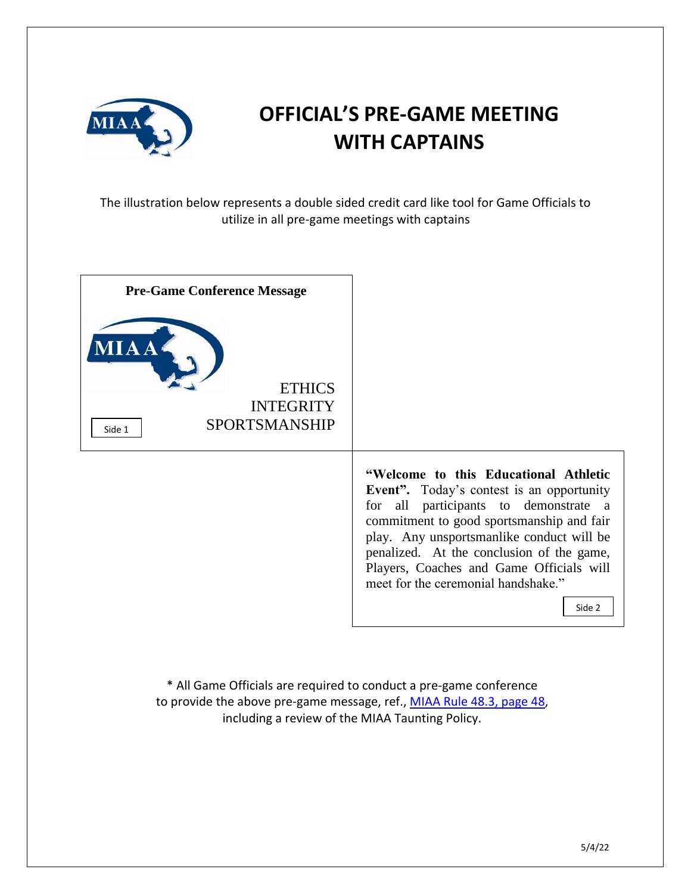

# **OFFICIAL'S PRE-GAME MEETING WITH CAPTAINS**

The illustration below represents a double sided credit card like tool for Game Officials to utilize in all pre-game meetings with captains

| <b>Pre-Game Conference Message</b>                                          |                                                                                                                                                                                                                                                                                                                                                                         |
|-----------------------------------------------------------------------------|-------------------------------------------------------------------------------------------------------------------------------------------------------------------------------------------------------------------------------------------------------------------------------------------------------------------------------------------------------------------------|
| IA A<br><b>ETHICS</b><br><b>INTEGRITY</b><br><b>SPORTSMANSHIP</b><br>Side 1 |                                                                                                                                                                                                                                                                                                                                                                         |
|                                                                             | "Welcome to this Educational Athletic<br><b>Event</b> ". Today's contest is an opportunity<br>for all participants to demonstrate a<br>commitment to good sportsmanship and fair<br>play. Any unsportsmanlike conduct will be<br>penalized. At the conclusion of the game,<br>Players, Coaches and Game Officials will<br>meet for the ceremonial handshake."<br>Side 2 |

\* All Game Officials are required to conduct a pre-game conference to provide the above pre-game message, ref., [MIAA Rule 48.3, page 48,](https://miaa.net/wp-content/uploads/2022/03/MIAA-Handbook-21-23revised.pdf) including a review of the MIAA Taunting Policy.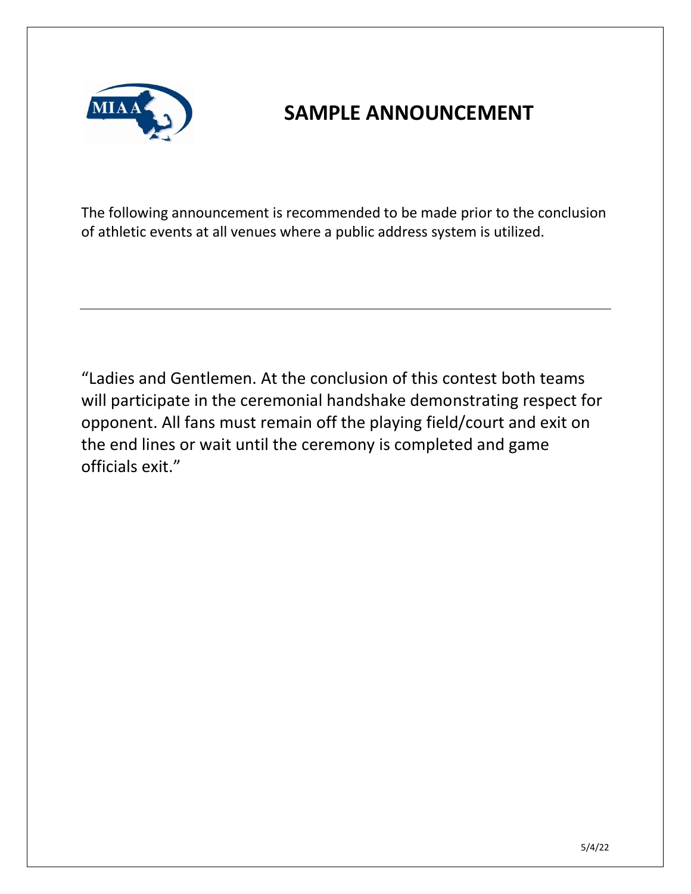

## **SAMPLE ANNOUNCEMENT**

The following announcement is recommended to be made prior to the conclusion of athletic events at all venues where a public address system is utilized.

"Ladies and Gentlemen. At the conclusion of this contest both teams will participate in the ceremonial handshake demonstrating respect for opponent. All fans must remain off the playing field/court and exit on the end lines or wait until the ceremony is completed and game officials exit."